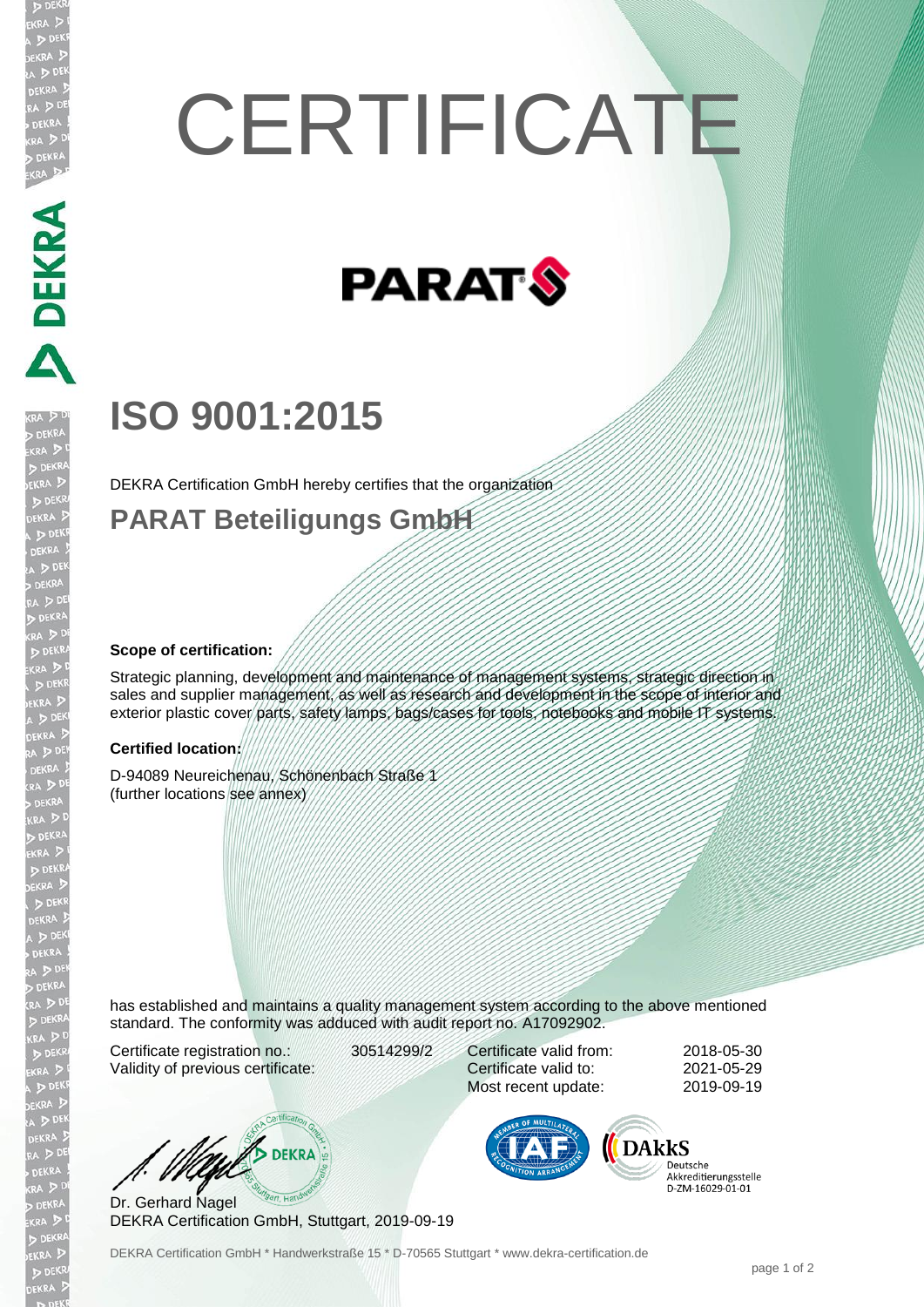# **CERTIFICATE**



# **ISO 9001:2015**

DEKRA Certification GmbH hereby certifies that the organization

### **PARAT Beteiligungs GmbH**

#### **Scope of certification:**

DEKRA PER

EKR

Strategic planning, development and maintenance of management systems, strategic direction in sales and supplier management, as well as research and development in the scope of interior and exterior plastic cover parts, safety lamps, bags/cases for tools, notebooks and mobile IT systems.

#### **Certified location:**

D-94089 Neureichenau, Schönenbach Straße 1 (further locations see annex)

has established and maintains a quality management system according to the above mentioned standard. The conformity was adduced with audit report no. A17092902.

Certificate registration no.: 30514299/2 Validity of previous certificate:

Certificate valid from: 2018-05-30 Certificate valid to: 2021-05-29 Most recent update: 2019-09-19

W/ DEKRA

Dr. Gerhard Nagel DEKRA Certification GmbH, Stuttgart, 2019-09-19



Deutsche Akkreditierungsstelle D-7M-16029-01-01